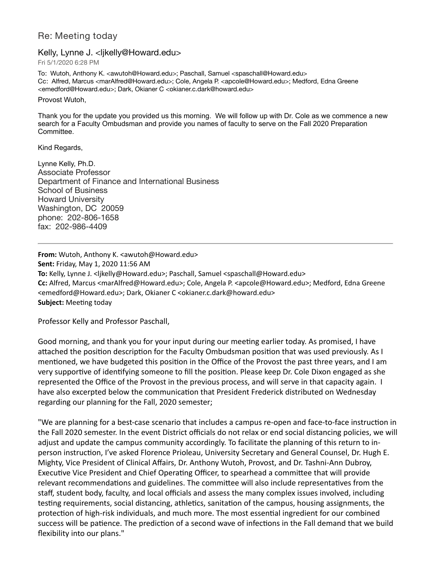## Re: Meeting today

## Kelly, Lynne J. <likelly@Howard.edu>

Fri 5/1/2020 6:28 PM

To: Wutoh, Anthony K. <awutoh@Howard.edu>; Paschall, Samuel <spaschall@Howard.edu> Cc: Alfred, Marcus <marAlfred@Howard.edu>; Cole, Angela P. <apcole@Howard.edu>; Medford, Edna Greene <emedford@Howard.edu>; Dark, Okianer C <okianer.c.dark@howard.edu>

Provost Wutoh,

Thank you for the update you provided us this morning. We will follow up with Dr. Cole as we commence a new search for a Faculty Ombudsman and provide you names of faculty to serve on the Fall 2020 Preparation Committee.

Kind Regards,

Lynne Kelly, Ph.D. Associate Professor Department of Finance and International Business School of Business Howard University Washington, DC 20059 phone: 202-806-1658 fax: 202-986-4409

**From:** Wutoh, Anthony K. <awutoh@Howard.edu> **Sent:** Friday, May 1, 2020 11:56 AM **To:** Kelly, Lynne J. <ljkelly@Howard.edu>; Paschall, Samuel <spaschall@Howard.edu> **Cc:** Alfred, Marcus <marAlfred@Howard.edu>; Cole, Angela P. <apcole@Howard.edu>; Medford, Edna Greene <emedford@Howard.edu>; Dark, Okianer C <okianer.c.dark@howard.edu> **Subject:** Meeting today

Professor Kelly and Professor Paschall,

Good morning, and thank you for your input during our meeting earlier today. As promised, I have attached the position description for the Faculty Ombudsman position that was used previously. As I mentioned, we have budgeted this position in the Office of the Provost the past three years, and I am very supportive of identifying someone to fill the position. Please keep Dr. Cole Dixon engaged as she represented the Office of the Provost in the previous process, and will serve in that capacity again. I have also excerpted below the communication that President Frederick distributed on Wednesday regarding our planning for the Fall, 2020 semester;

"We are planning for a best-case scenario that includes a campus re-open and face-to-face instruction in the Fall 2020 semester. In the event District officials do not relax or end social distancing policies, we will adjust and update the campus community accordingly. To facilitate the planning of this return to inperson instruction, I've asked Florence Prioleau, University Secretary and General Counsel, Dr. Hugh E. Mighty, Vice President of Clinical Affairs, Dr. Anthony Wutoh, Provost, and Dr. Tashni-Ann Dubroy, Executive Vice President and Chief Operating Officer, to spearhead a committee that will provide relevant recommendations and guidelines. The committee will also include representatives from the staff, student body, faculty, and local officials and assess the many complex issues involved, including testing requirements, social distancing, athletics, sanitation of the campus, housing assignments, the protection of high-risk individuals, and much more. The most essential ingredient for our combined success will be patience. The prediction of a second wave of infections in the Fall demand that we build flexibility into our plans."